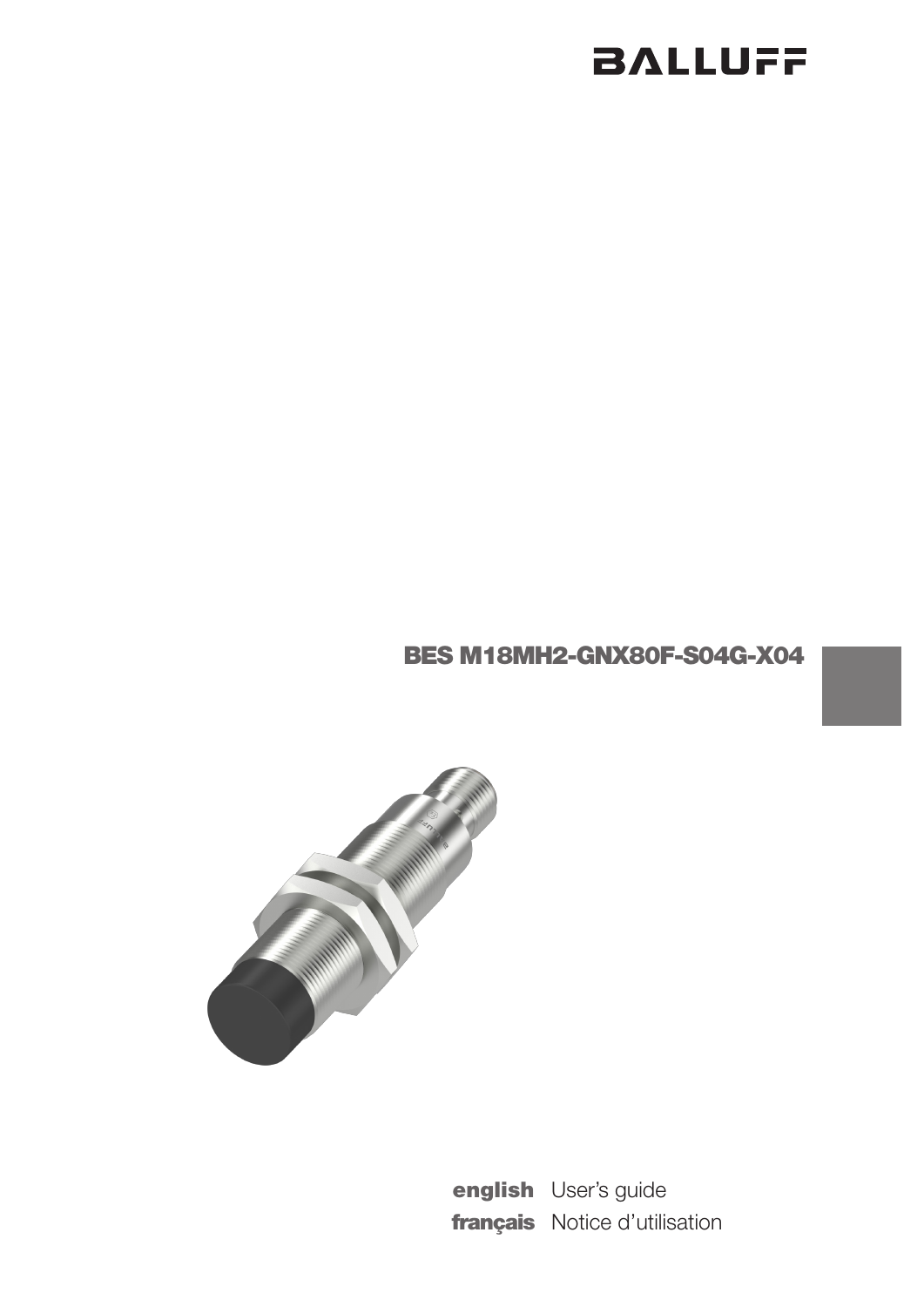## BES M18MH2-GNX80F-S04G-X04



english User's guide français Notice d'utilisation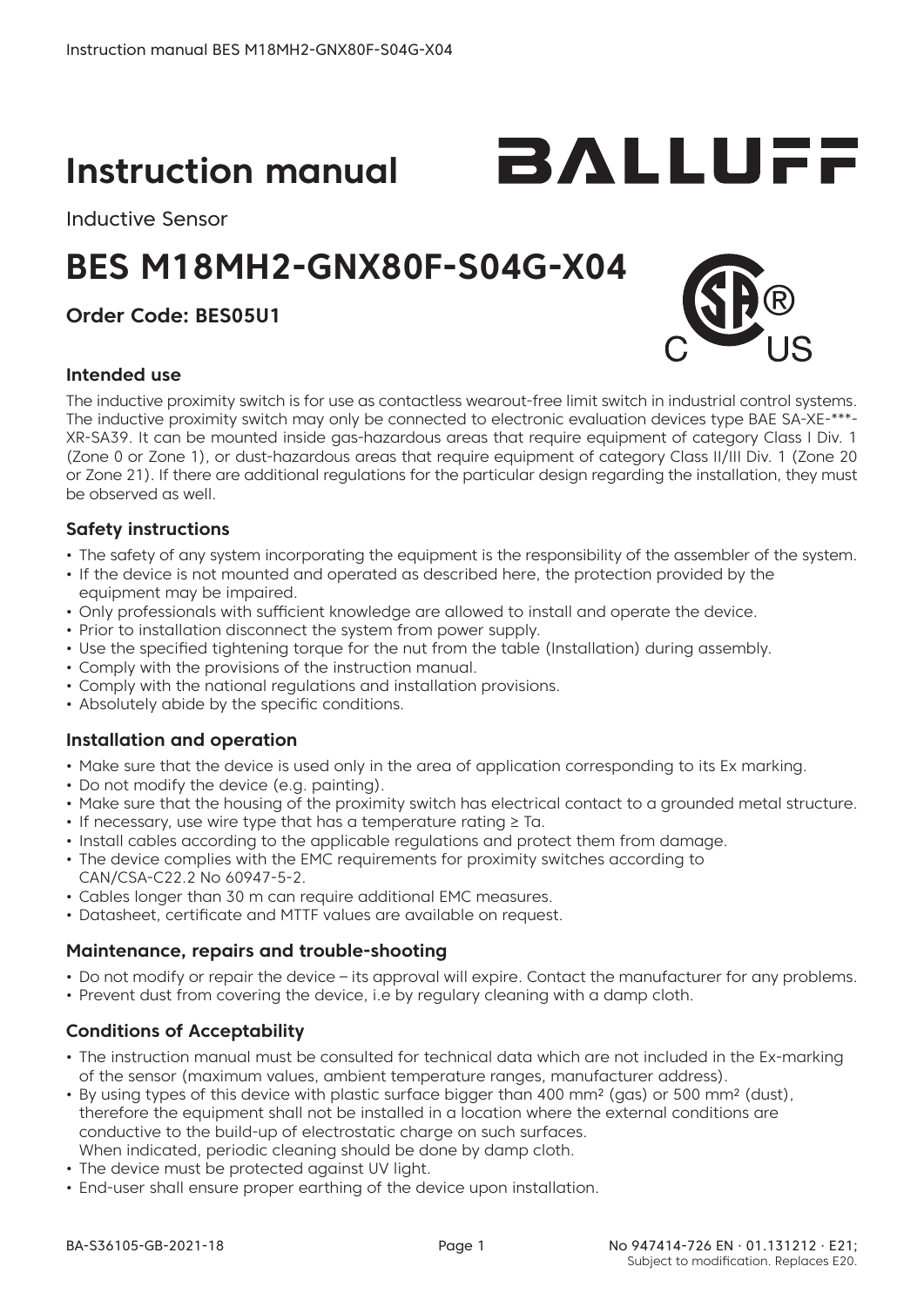## **Instruction manual**

Inductive Sensor

## **BES M18MH2-GNX80F-S04G-X04**

## **Order Code: BES05U1**

#### **Intended use**

BALLUFF

The inductive proximity switch is for use as contactless wearout-free limit switch in industrial control systems. The inductive proximity switch may only be connected to electronic evaluation devices type BAE SA-XE-\*\*\*- XR-SA39. It can be mounted inside gas-hazardous areas that require equipment of category Class I Div. 1 (Zone 0 or Zone 1), or dust-hazardous areas that require equipment of category Class II/III Div. 1 (Zone 20 or Zone 21). If there are additional regulations for the particular design regarding the installation, they must be observed as well.

#### **Safety instructions**

- The safety of any system incorporating the equipment is the responsibility of the assembler of the system.
- If the device is not mounted and operated as described here, the protection provided by the equipment may be impaired.
- • Only professionals with sufficient knowledge are allowed to install and operate the device.
- Prior to installation disconnect the system from power supply.
- Use the specified tightening torque for the nut from the table (Installation) during assembly.
- Comply with the provisions of the instruction manual.
- Comply with the national regulations and installation provisions.
- Absolutely abide by the specific conditions.

#### **Installation and operation**

- Make sure that the device is used only in the area of application corresponding to its Ex marking.
- Do not modify the device (e.g. painting).
- Make sure that the housing of the proximity switch has electrical contact to a grounded metal structure.
- If necessary, use wire type that has a temperature rating ≥ Ta.
- • Install cables according to the applicable regulations and protect them from damage.
- The device complies with the EMC requirements for proximity switches according to CAN/CSA-C22.2 No 60947-5-2.
- Cables longer than 30 m can require additional EMC measures.
- Datasheet, certificate and MTTF values are available on request.

#### **Maintenance, repairs and trouble-shooting**

- • Do not modify or repair the device its approval will expire. Contact the manufacturer for any problems.
- Prevent dust from covering the device, i.e by regulary cleaning with a damp cloth.

#### **Conditions of Acceptability**

- • The instruction manual must be consulted for technical data which are not included in the Ex-marking of the sensor (maximum values, ambient temperature ranges, manufacturer address).
- By using types of this device with plastic surface bigger than 400 mm<sup>2</sup> (gas) or 500 mm<sup>2</sup> (dust), therefore the equipment shall not be installed in a location where the external conditions are conductive to the build-up of electrostatic charge on such surfaces. When indicated, periodic cleaning should be done by damp cloth.
- The device must be protected against UV light.
- End-user shall ensure proper earthing of the device upon installation.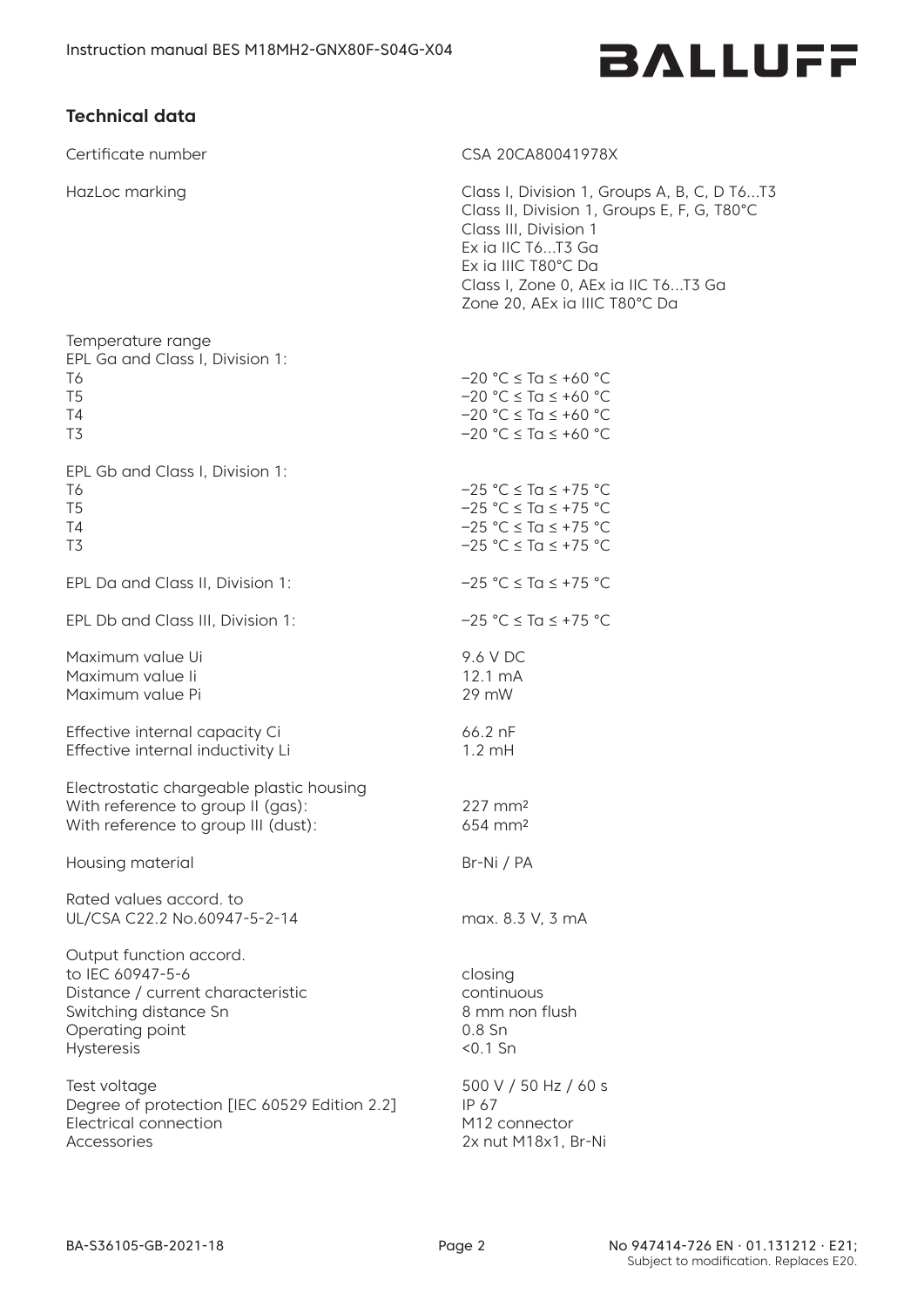### **Technical data**

Certificate number CSA 20CA80041978X

Temperature range

HazLoc marking



Class I, Division 1, Groups A, B, C, D T6…T3 Class II, Division 1, Groups E, F, G, T80°C Class III, Division 1 Ex ia IIC T6…T3 Ga Ex ia IIIC T80°C Da Class I, Zone 0, AEx ia IIC T6…T3 Ga Zone 20, AEx ia IIIC T80°C Da

| EPL Ga and Class I, Division 1:<br>T6<br>T <sub>5</sub><br>Τ4<br>T3                                                                        | $-20$ °C $\leq$ Ta $\leq$ +60 °C<br>$-20 °C \leq Ta \leq +60 °C$<br>$-20 °C \leq Ta \leq +60 °C$<br>$-20$ °C $\le$ Ta $\le$ +60 °C |
|--------------------------------------------------------------------------------------------------------------------------------------------|------------------------------------------------------------------------------------------------------------------------------------|
| EPL Gb and Class I, Division 1:<br>T6<br>T <sub>5</sub><br>T4<br>T3                                                                        | $-25 °C \leq Ta \leq +75 °C$<br>$-25$ °C $\le$ Ta $\le$ +75 °C<br>$-25 °C \leq Ta \leq +75 °C$<br>$-25 °C \leq Ta \leq +75 °C$     |
| EPL Da and Class II, Division 1:                                                                                                           | $-25 °C \leq Ta \leq +75 °C$                                                                                                       |
| EPL Db and Class III, Division 1:                                                                                                          | $-25 °C \leq Ta \leq +75 °C$                                                                                                       |
| Maximum value Ui<br>Maximum value li<br>Maximum value Pi                                                                                   | 9.6 V DC<br>12.1 mA<br>29 mW                                                                                                       |
| Effective internal capacity Ci<br>Effective internal inductivity Li                                                                        | 66.2 nF<br>$1.2 \text{ mH}$                                                                                                        |
| Electrostatic chargeable plastic housing<br>With reference to group II (gas):<br>With reference to group III (dust):                       | 227 mm <sup>2</sup><br>$654 \text{ mm}^2$                                                                                          |
| Housing material                                                                                                                           | Br-Ni / PA                                                                                                                         |
| Rated values accord, to<br>UL/CSA C22.2 No.60947-5-2-14                                                                                    | max. 8.3 V, 3 mA                                                                                                                   |
| Output function accord.<br>to IEC 60947-5-6<br>Distance / current characteristic<br>Switching distance Sn<br>Operating point<br>Hysteresis | closing<br>continuous<br>8 mm non flush<br>$0.8\$ Sn<br>$< 0.1$ Sn                                                                 |
| Test voltage<br>Degree of protection [IEC 60529 Edition 2.2]<br><b>Electrical connection</b><br><b>Accessories</b>                         | 500 V / 50 Hz / 60 s<br>IP 67<br>M <sub>12</sub> connector<br>2x nut M18x1, Br-Ni                                                  |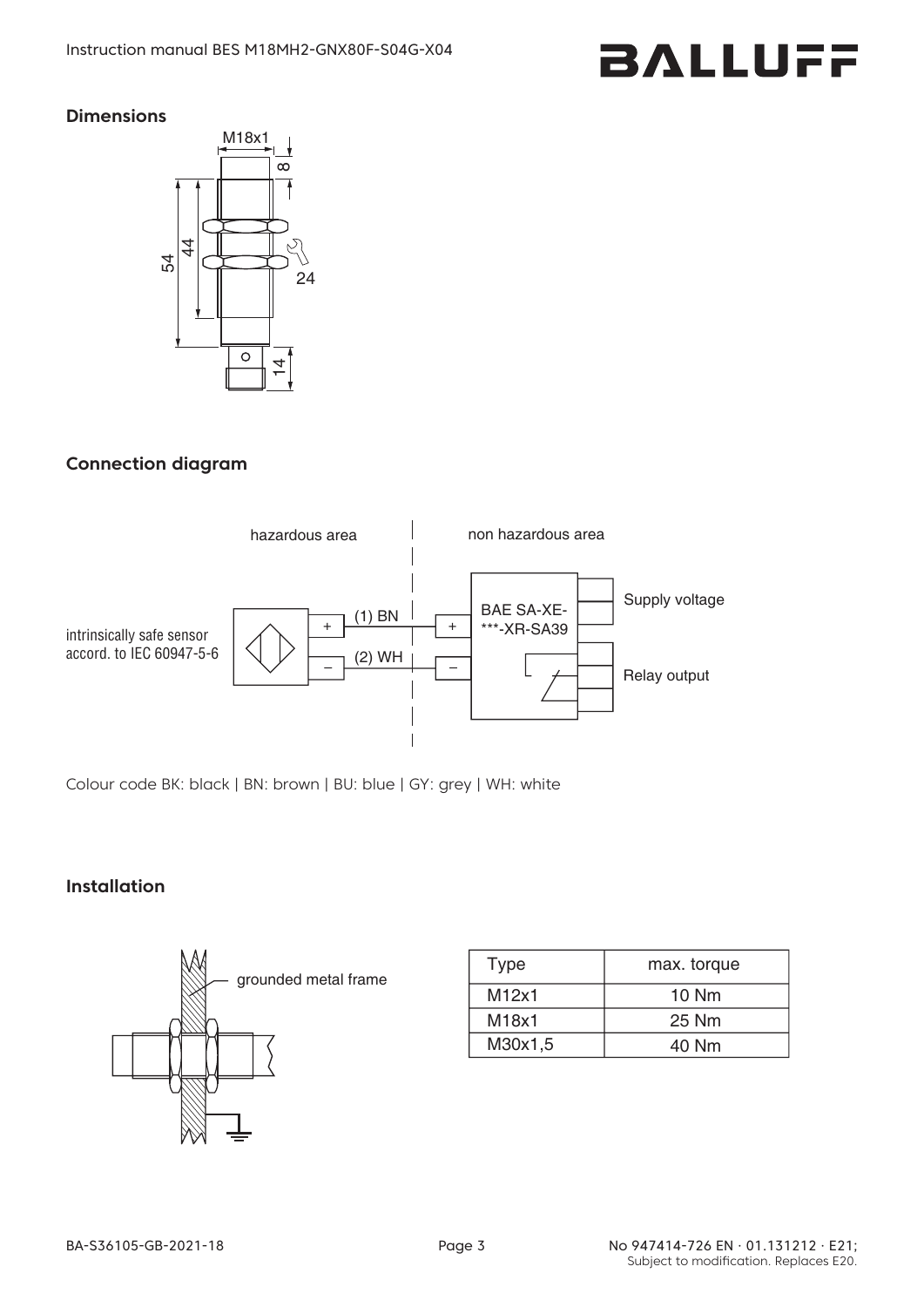#### **Dimensions**



### **Connection diagram**



Colour code BK: black | BN: brown | BU: blue | GY: grey | WH: white

#### **Installation**



| <b>Type</b> | max. torque |  |
|-------------|-------------|--|
| M12x1       | 10 Nm       |  |
| M18x1       | 25 Nm       |  |
| M30x1,5     | 40 Nm       |  |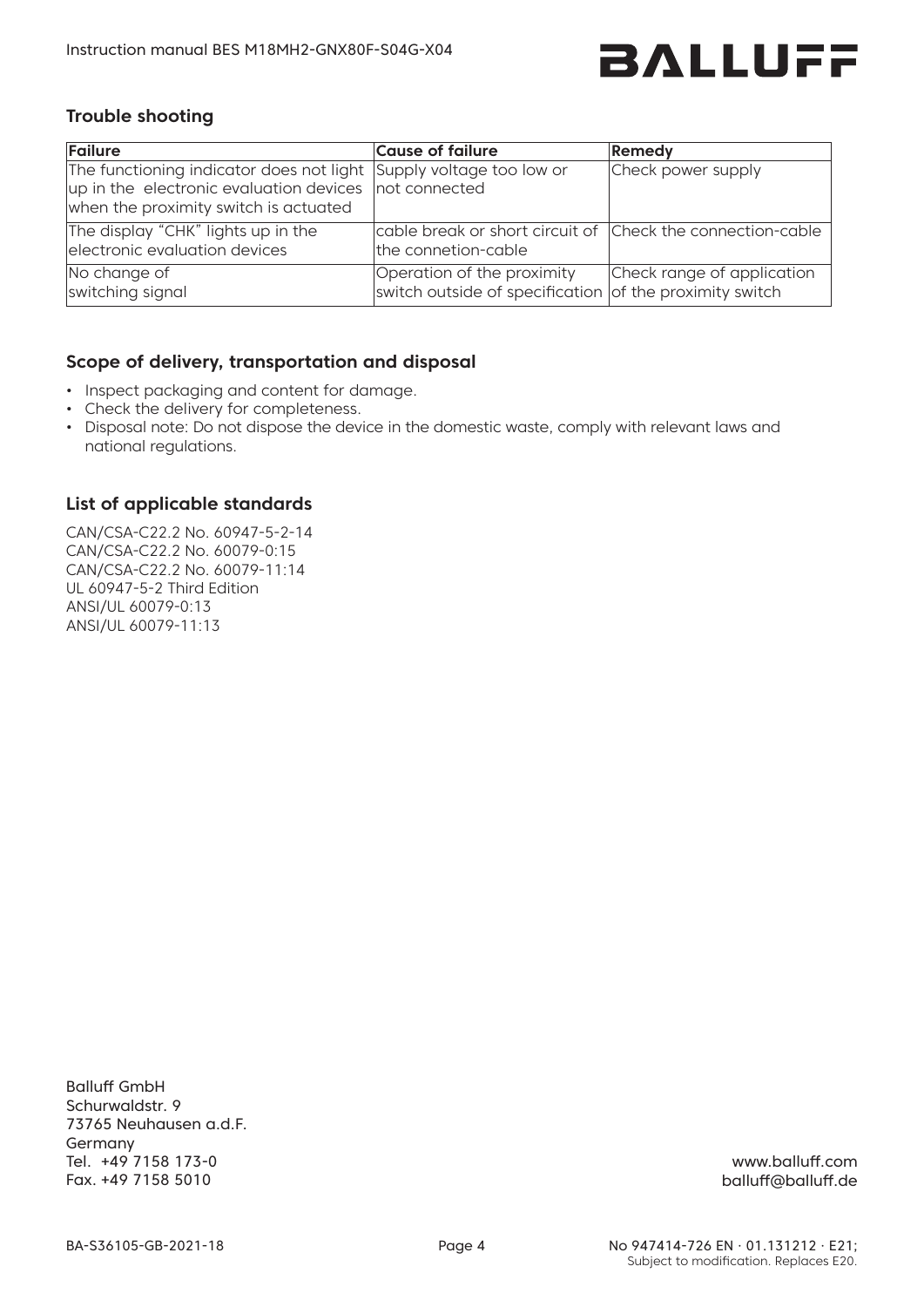

#### **Trouble shooting**

| Failure                                                                                                                                                              | <b>Cause of failure</b>                                                               | Remedy                     |
|----------------------------------------------------------------------------------------------------------------------------------------------------------------------|---------------------------------------------------------------------------------------|----------------------------|
| The functioning indicator does not light Supply voltage too low or<br>up in the electronic evaluation devices not connected<br>when the proximity switch is actuated |                                                                                       | Check power supply         |
| The display "CHK" lights up in the<br>electronic evaluation devices                                                                                                  | cable break or short circuit of Check the connection-cable<br>the connetion-cable     |                            |
| No change of<br>switching signal                                                                                                                                     | Operation of the proximity<br>switch outside of specification of the proximity switch | Check range of application |

#### **Scope of delivery, transportation and disposal**

- Inspect packaging and content for damage.
- • Check the delivery for completeness.
- • Disposal note: Do not dispose the device in the domestic waste, comply with relevant laws and national regulations.

#### **List of applicable standards**

CAN/CSA-C22.2 No. 60947-5-2-14 CAN/CSA-C22.2 No. 60079-0:15 CAN/CSA-C22.2 No. 60079-11:14 UL 60947-5-2 Third Edition ANSI/UL 60079-0:13 ANSI/UL 60079-11:13

Balluff GmbH Schurwaldstr. 9 73765 Neuhausen a.d.F. Germany Tel. +49 7158 173-0 Fax. +49 7158 5010

www.balluff.com balluff@balluff.de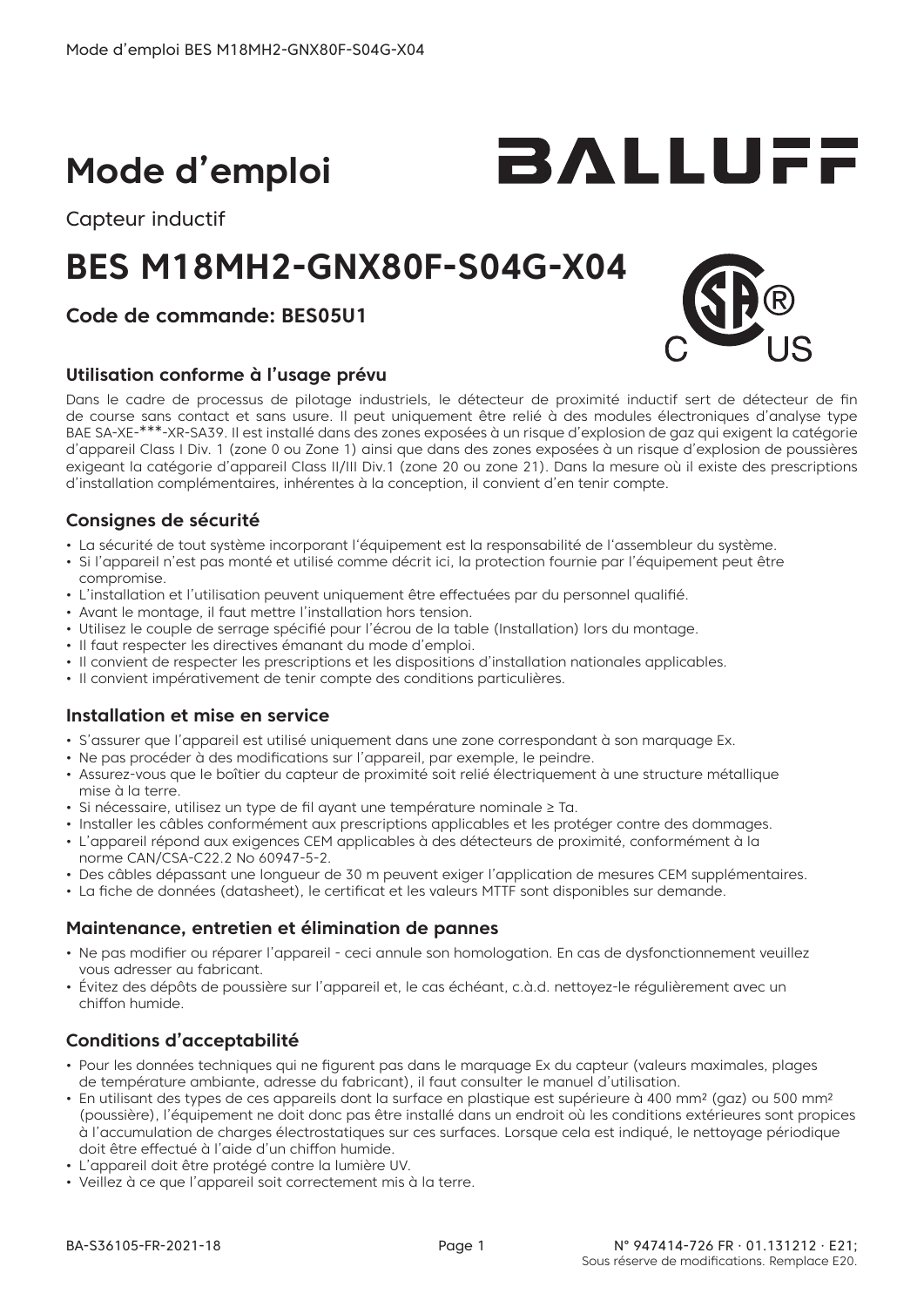# **Mode d'emploi**

Capteur inductif

## **BES M18MH2-GNX80F-S04G-X04**

## **Code de commande: BES05U1**

#### **Utilisation conforme à l'usage prévu**

Dans le cadre de processus de pilotage industriels, le détecteur de proximité inductif sert de détecteur de fin de course sans contact et sans usure. Il peut uniquement être relié à des modules électroniques d'analyse type BAE SA-XE-\*\*\*-XR-SA39. Il est installé dans des zones exposées à un risque d'explosion de gaz qui exigent la catégorie d'appareil Class I Div. 1 (zone 0 ou Zone 1) ainsi que dans des zones exposées à un risque d'explosion de poussières exigeant la catégorie d'appareil Class II/III Div.1 (zone 20 ou zone 21). Dans la mesure où il existe des prescriptions d'installation complémentaires, inhérentes à la conception, il convient d'en tenir compte.

#### **Consignes de sécurité**

- La sécurité de tout système incorporant l'équipement est la responsabilité de l'assembleur du système.
- Si l'appareil n'est pas monté et utilisé comme décrit ici, la protection fournie par l'équipement peut être compromise.
- L'installation et l'utilisation peuvent uniquement être effectuées par du personnel qualifié.
- Avant le montage, il faut mettre l'installation hors tension.
- Utilisez le couple de serrage spécifié pour l'écrou de la table (Installation) lors du montage.
- Il faut respecter les directives émanant du mode d'emploi.
- Il convient de respecter les prescriptions et les dispositions d'installation nationales applicables.
- Il convient impérativement de tenir compte des conditions particulières.

#### **Installation et mise en service**

- S'assurer que l'appareil est utilisé uniquement dans une zone correspondant à son marquage Ex.
- Ne pas procéder à des modifications sur l'appareil, par exemple, le peindre.
- Assurez-vous que le boîtier du capteur de proximité soit relié électriquement à une structure métallique mise à la terre.
- Si nécessaire, utilisez un type de fil ayant une température nominale ≥ Ta.
- Installer les câbles conformément aux prescriptions applicables et les protéger contre des dommages.
- L'appareil répond aux exigences CEM applicables à des détecteurs de proximité, conformément à la norme CAN/CSA-C22.2 No 60947-5-2.
- Des câbles dépassant une longueur de 30 m peuvent exiger l'application de mesures CEM supplémentaires.
- La fiche de données (datasheet), le certificat et les valeurs MTTF sont disponibles sur demande.

## **Maintenance, entretien et élimination de pannes**

- Ne pas modifier ou réparer l'appareil ceci annule son homologation. En cas de dysfonctionnement veuillez vous adresser au fabricant.
- Évitez des dépôts de poussière sur l'appareil et, le cas échéant, c.à.d. nettoyez-le régulièrement avec un chiffon humide.

## **Conditions d'acceptabilité**

- Pour les données techniques qui ne figurent pas dans le marquage Ex du capteur (valeurs maximales, plages de température ambiante, adresse du fabricant), il faut consulter le manuel d'utilisation.
- En utilisant des types de ces appareils dont la surface en plastique est supérieure à 400 mm² (gaz) ou 500 mm² (poussière), l'équipement ne doit donc pas être installé dans un endroit où les conditions extérieures sont propices à l'accumulation de charges électrostatiques sur ces surfaces. Lorsque cela est indiqué, le nettoyage périodique doit être effectué à l'aide d'un chiffon humide.
- L'appareil doit être protégé contre la lumière UV.
- Veillez à ce que l'appareil soit correctement mis à la terre.



BALLUFF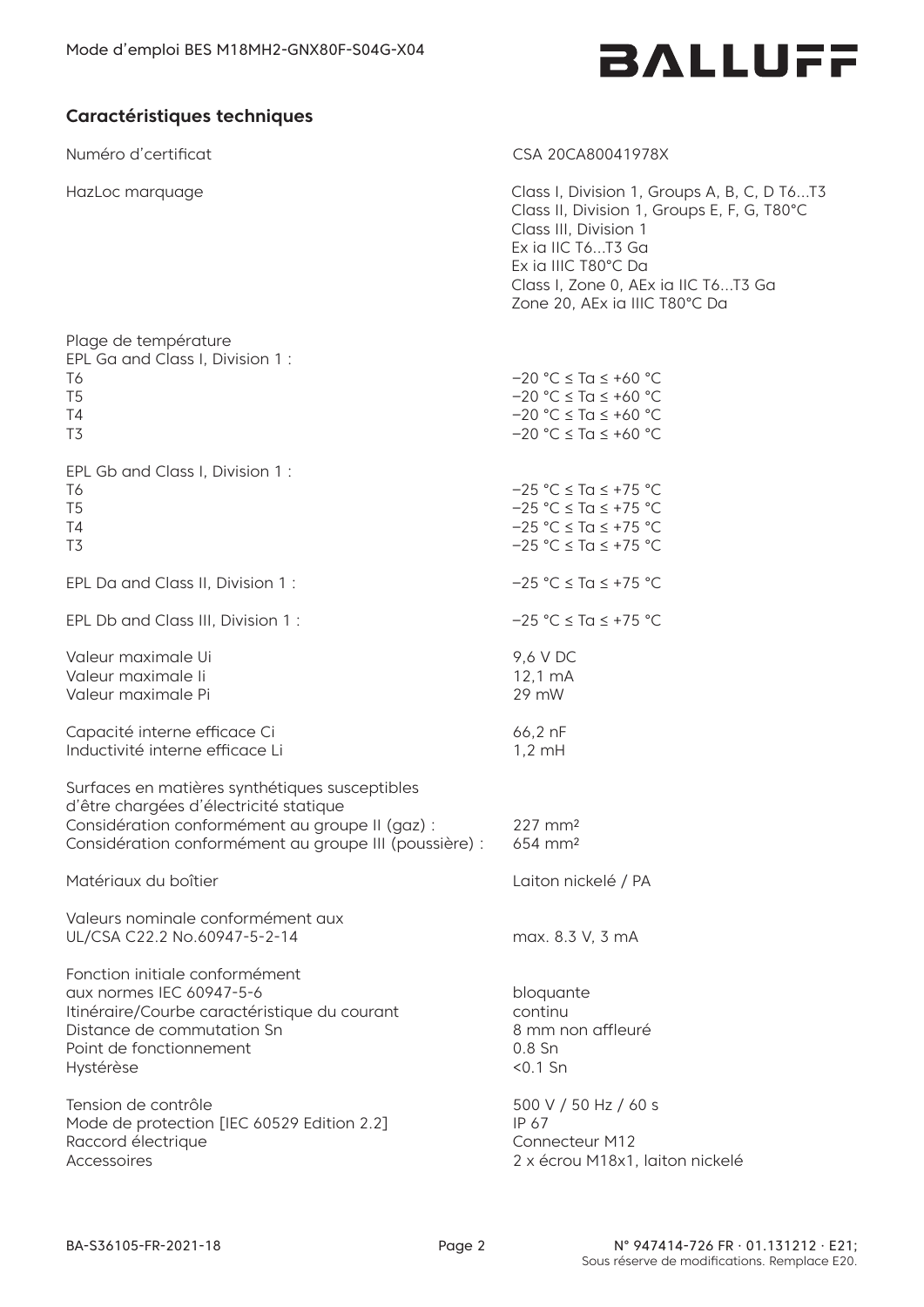### **Caractéristiques techniques**

HazLoc marquage

Numéro d'certificat communications de la communication de la communication de la communication de la communication de la communication de la communication de la communication de la communication de la communication de la c

Class I, Division 1, Groups A, B, C, D T6…T3 Class II, Division 1, Groups E, F, G, T80°C Class III, Division 1 Ex ia IIIC T80°C Da<br>Class I, Zone 0, AEx ia IIC T6…T3 Ga<br>Zone 20, AEx ia IIIC T80°C Da

| Plage de température<br>EPL Ga and Class I, Division 1:<br>T6<br>T <sub>5</sub><br>T4<br>T <sub>3</sub>                                                                                               | $-20$ °C $\leq$ Ta $\leq$ +60 °C<br>$-20 °C \leq Ta \leq +60 °C$<br>$-20$ °C $\le$ Ta $\le$ +60 °C<br>$-20$ °C $\le$ Ta $\le$ +60 °C |
|-------------------------------------------------------------------------------------------------------------------------------------------------------------------------------------------------------|--------------------------------------------------------------------------------------------------------------------------------------|
| EPL Gb and Class I, Division 1:<br>T6<br>T <sub>5</sub><br>T4<br>T <sub>3</sub>                                                                                                                       | $-25 °C \leq Ta \leq +75 °C$<br>$-25 °C \leq Ta \leq +75 °C$<br>$-25$ °C $\le$ Ta $\le$ +75 °C<br>$-25 °C \leq Ta \leq +75 °C$       |
| EPL Da and Class II, Division 1:                                                                                                                                                                      | $-25 °C \leq Ta \leq +75 °C$                                                                                                         |
| EPL Db and Class III, Division 1:                                                                                                                                                                     | $-25$ °C $\le$ Ta $\le$ +75 °C                                                                                                       |
| Valeur maximale Ui<br>Valeur maximale li<br>Valeur maximale Pi                                                                                                                                        | 9,6 V DC<br>$12,1 \,mA$<br>29 mW                                                                                                     |
| Capacité interne efficace Ci<br>Inductivité interne efficace Li                                                                                                                                       | 66,2 nF<br>$1,2$ mH                                                                                                                  |
| Surfaces en matières synthétiques susceptibles<br>d'être chargées d'électricité statique<br>Considération conformément au groupe II (gaz) :<br>Considération conformément au groupe III (poussière) : | 227 mm <sup>2</sup><br>654 mm <sup>2</sup>                                                                                           |
| Matériaux du boîtier                                                                                                                                                                                  | Laiton nickelé / PA                                                                                                                  |
| Valeurs nominale conformément aux<br>UL/CSA C22.2 No.60947-5-2-14                                                                                                                                     | max. 8.3 V, 3 mA                                                                                                                     |
| Fonction initiale conformément<br>aux normes IEC 60947-5-6<br>Itinéraire/Courbe caractéristique du courant<br>Distance de commutation Sn<br>Point de fonctionnement<br>Hystérèse                      | bloquante<br>continu<br>8 mm non affleuré<br>$0.8$ Sn<br>$< 0.1$ Sn                                                                  |
| Tension de contrôle<br>Mode de protection [IEC 60529 Edition 2.2]<br>Raccord électrique<br>Accessoires                                                                                                | 500 V / 50 Hz / 60 s<br>IP 67<br><b>Connecteur M12</b><br>2 x écrou M18x1, laiton nickelé                                            |
|                                                                                                                                                                                                       |                                                                                                                                      |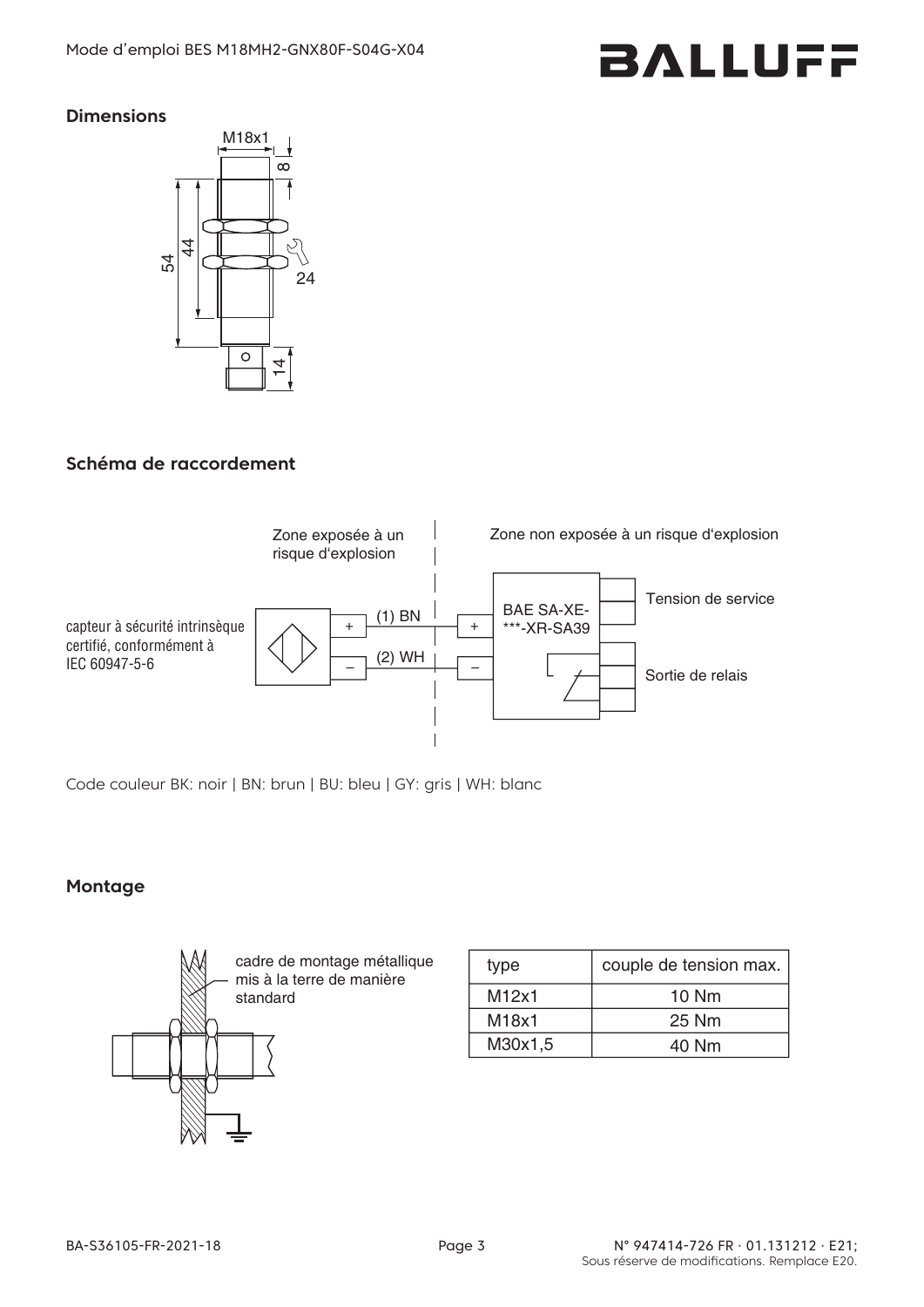#### **Dimensions**



## **Schéma de raccordement**



Code couleur BK: noir | BN: brun | BU: bleu | GY: gris | WH: blanc

## **Montage**



| type    | couple de tension max. |  |
|---------|------------------------|--|
| M12x1   | 10 Nm                  |  |
| M18x1   | 25 Nm                  |  |
| M30x1,5 | 40 Nm                  |  |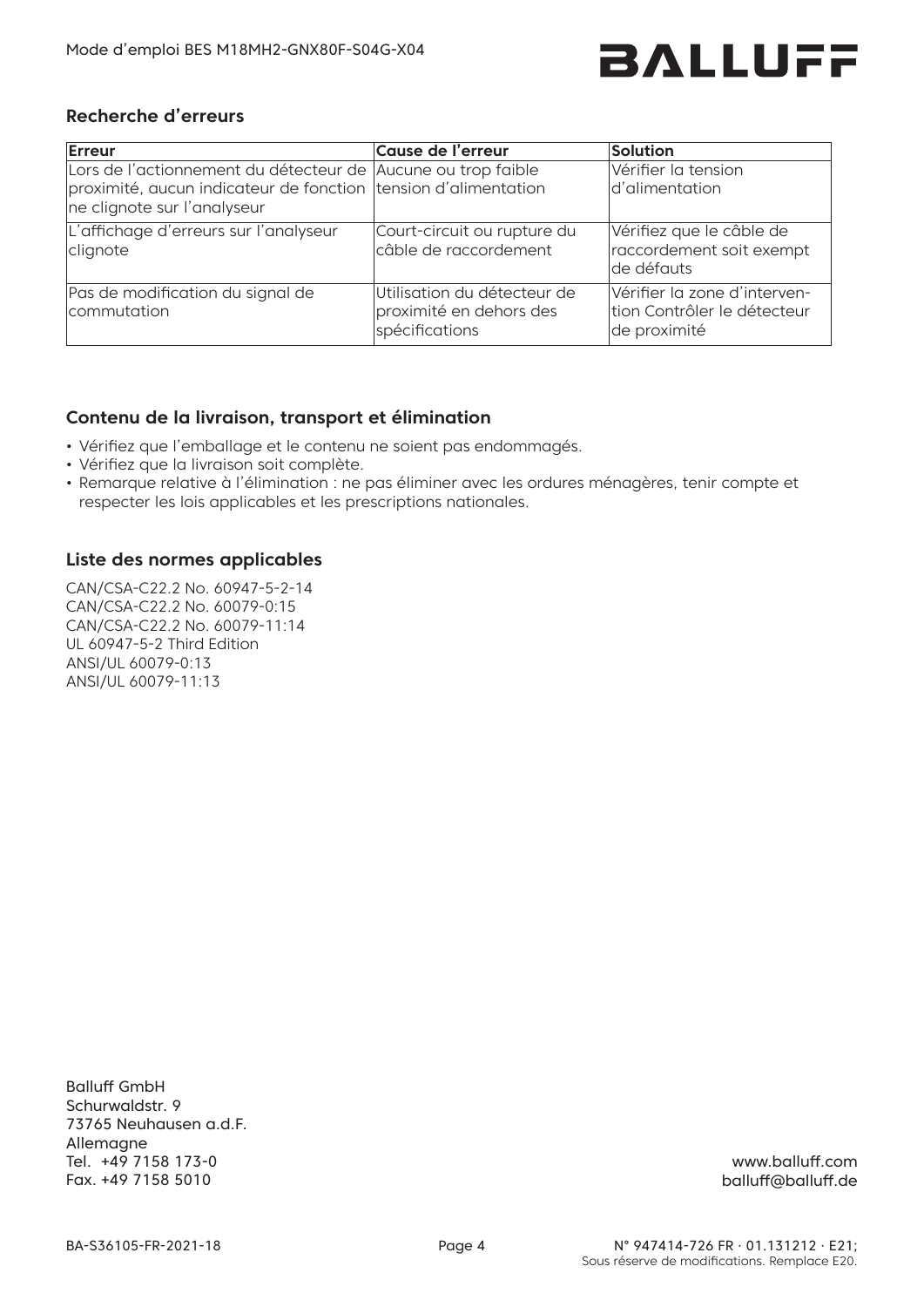

#### **Recherche d'erreurs**

| Erreur                                                                                                                                                        | Cause de l'erreur                                                        | Solution                                                                    |
|---------------------------------------------------------------------------------------------------------------------------------------------------------------|--------------------------------------------------------------------------|-----------------------------------------------------------------------------|
| Lors de l'actionnement du détecteur de Aucune ou trop faible<br>proximité, aucun indicateur de fonction tension d'alimentation<br>ne clignote sur l'analyseur |                                                                          | Vérifier la tension<br>d'alimentation                                       |
| L'affichage d'erreurs sur l'analyseur<br>clignote                                                                                                             | Court-circuit ou rupture du<br>câble de raccordement                     | Vérifiez que le câble de<br>raccordement soit exempt<br>lde défauts         |
| Pas de modification du signal de<br>commutation                                                                                                               | Utilisation du détecteur de<br>proximité en dehors des<br>spécifications | Vérifier la zone d'interven-<br>tion Contrôler le détecteur<br>de proximité |

#### **Contenu de la livraison, transport et élimination**

- Vérifiez que l'emballage et le contenu ne soient pas endommagés.
- Vérifiez que la livraison soit complète.
- Remarque relative à l'élimination : ne pas éliminer avec les ordures ménagères, tenir compte et respecter les lois applicables et les prescriptions nationales.

#### **Liste des normes applicables**

CAN/CSA-C22.2 No. 60947-5-2-14 CAN/CSA-C22.2 No. 60079-0:15 CAN/CSA-C22.2 No. 60079-11:14 UL 60947-5-2 Third Edition ANSI/UL 60079-0:13 ANSI/UL 60079-11:13

Balluff GmbH Schurwaldstr. 9 73765 Neuhausen a.d.F. Allemagne Tel. +49 7158 173-0 Fax. +49 7158 5010

www.balluff.com balluff@balluff.de